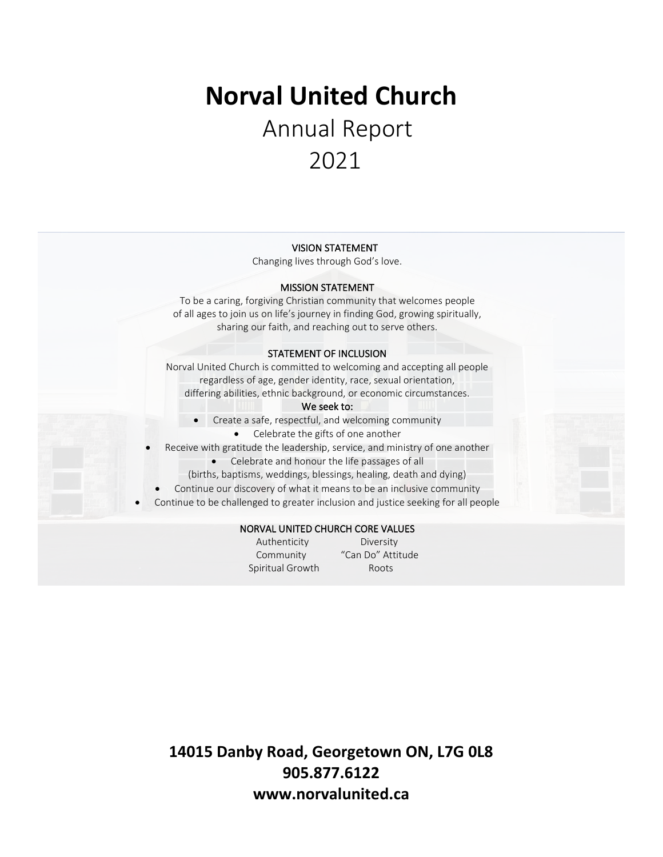# **Norval United Church**  Annual Report 2021

#### VISION STATEMENT

Changing lives through God's love.

#### MISSION STATEMENT

To be a caring, forgiving Christian community that welcomes people of all ages to join us on life's journey in finding God, growing spiritually, sharing our faith, and reaching out to serve others.

#### STATEMENT OF INCLUSION

Norval United Church is committed to welcoming and accepting all people regardless of age, gender identity, race, sexual orientation, differing abilities, ethnic background, or economic circumstances.

#### We seek to:

- Create a safe, respectful, and welcoming community
	- Celebrate the gifts of one another

Receive with gratitude the leadership, service, and ministry of one another

- Celebrate and honour the life passages of all
- (births, baptisms, weddings, blessings, healing, death and dying)
- Continue our discovery of what it means to be an inclusive community
- Continue to be challenged to greater inclusion and justice seeking for all people

#### NORVAL UNITED CHURCH CORE VALUES

Spiritual Growth Roots

 Authenticity Diversity Community "Can Do" Attitude

**14015 Danby Road, Georgetown ON, L7G 0L8 905.877.6122 www.norvalunited.ca**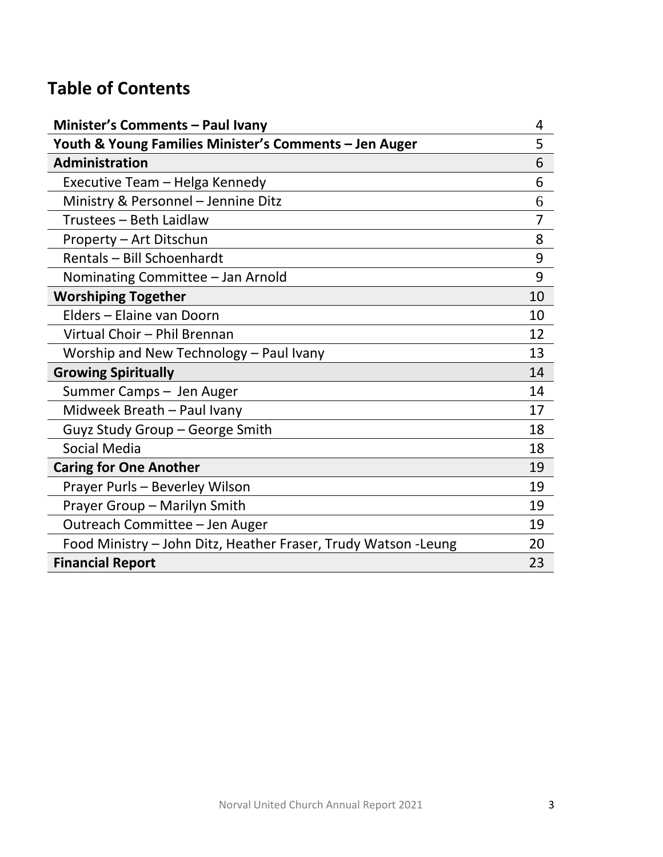# **Table of Contents**

| <b>Minister's Comments - Paul Ivany</b>                         | 4              |
|-----------------------------------------------------------------|----------------|
| Youth & Young Families Minister's Comments - Jen Auger          | 5              |
| <b>Administration</b>                                           | 6              |
| Executive Team - Helga Kennedy                                  | 6              |
| Ministry & Personnel - Jennine Ditz                             | 6              |
| Trustees - Beth Laidlaw                                         | $\overline{7}$ |
| Property - Art Ditschun                                         | 8              |
| Rentals - Bill Schoenhardt                                      | 9              |
| Nominating Committee - Jan Arnold                               | 9              |
| <b>Worshiping Together</b>                                      | 10             |
| Elders - Elaine van Doorn                                       | 10             |
| Virtual Choir - Phil Brennan                                    | 12             |
| Worship and New Technology - Paul Ivany                         | 13             |
| <b>Growing Spiritually</b>                                      | 14             |
| Summer Camps - Jen Auger                                        | 14             |
| Midweek Breath - Paul Ivany                                     | 17             |
| Guyz Study Group - George Smith                                 | 18             |
| <b>Social Media</b>                                             | 18             |
| <b>Caring for One Another</b>                                   | 19             |
| Prayer Purls - Beverley Wilson                                  | 19             |
| Prayer Group - Marilyn Smith                                    | 19             |
| Outreach Committee - Jen Auger                                  | 19             |
| Food Ministry - John Ditz, Heather Fraser, Trudy Watson - Leung | 20             |
| <b>Financial Report</b>                                         | 23             |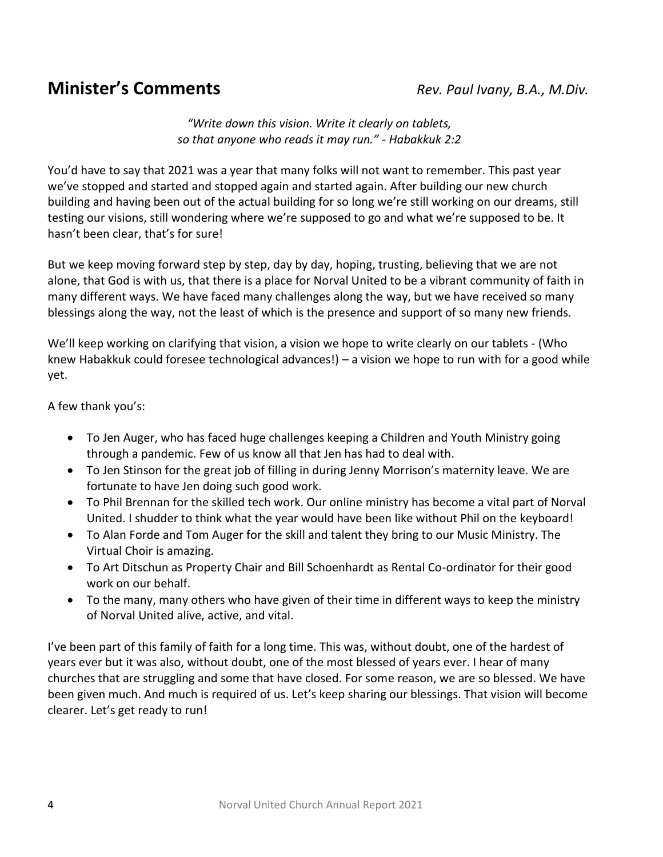# **Minister's Comments** *Rev. Paul Ivany, B.A., M.Div.*

*"Write down this vision. Write it clearly on tablets, so that anyone who reads it may run." - Habakkuk 2:2*

You'd have to say that 2021 was a year that many folks will not want to remember. This past year we've stopped and started and stopped again and started again. After building our new church building and having been out of the actual building for so long we're still working on our dreams, still testing our visions, still wondering where we're supposed to go and what we're supposed to be. It hasn't been clear, that's for sure!

But we keep moving forward step by step, day by day, hoping, trusting, believing that we are not alone, that God is with us, that there is a place for Norval United to be a vibrant community of faith in many different ways. We have faced many challenges along the way, but we have received so many blessings along the way, not the least of which is the presence and support of so many new friends.

We'll keep working on clarifying that vision, a vision we hope to write clearly on our tablets - (Who knew Habakkuk could foresee technological advances!) – a vision we hope to run with for a good while yet.

A few thank you's:

- To Jen Auger, who has faced huge challenges keeping a Children and Youth Ministry going through a pandemic. Few of us know all that Jen has had to deal with.
- To Jen Stinson for the great job of filling in during Jenny Morrison's maternity leave. We are fortunate to have Jen doing such good work.
- To Phil Brennan for the skilled tech work. Our online ministry has become a vital part of Norval United. I shudder to think what the year would have been like without Phil on the keyboard!
- To Alan Forde and Tom Auger for the skill and talent they bring to our Music Ministry. The Virtual Choir is amazing.
- To Art Ditschun as Property Chair and Bill Schoenhardt as Rental Co-ordinator for their good work on our behalf.
- To the many, many others who have given of their time in different ways to keep the ministry of Norval United alive, active, and vital.

I've been part of this family of faith for a long time. This was, without doubt, one of the hardest of years ever but it was also, without doubt, one of the most blessed of years ever. I hear of many churches that are struggling and some that have closed. For some reason, we are so blessed. We have been given much. And much is required of us. Let's keep sharing our blessings. That vision will become clearer. Let's get ready to run!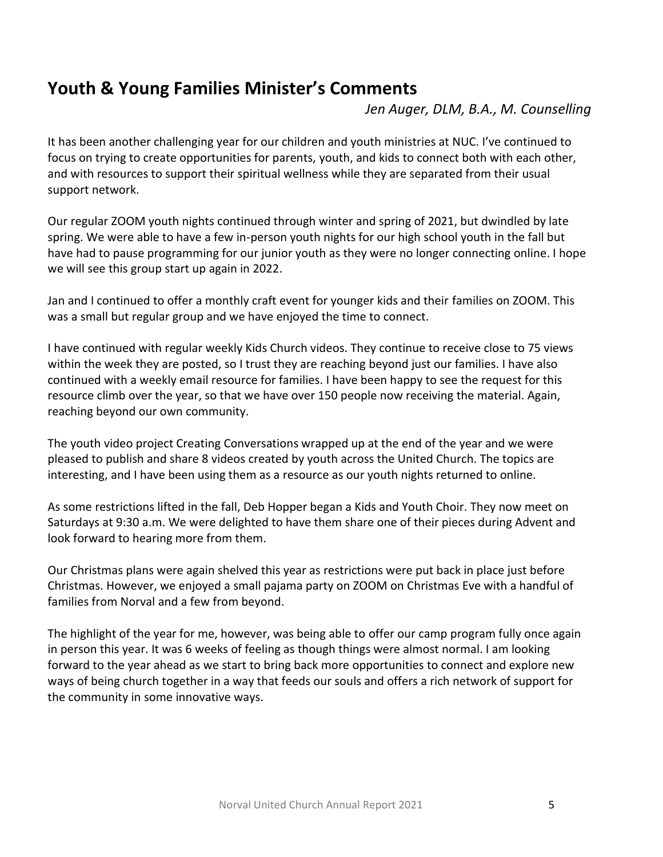# **Youth & Young Families Minister's Comments**

*Jen Auger, DLM, B.A., M. Counselling*

It has been another challenging year for our children and youth ministries at NUC. I've continued to focus on trying to create opportunities for parents, youth, and kids to connect both with each other, and with resources to support their spiritual wellness while they are separated from their usual support network.

Our regular ZOOM youth nights continued through winter and spring of 2021, but dwindled by late spring. We were able to have a few in-person youth nights for our high school youth in the fall but have had to pause programming for our junior youth as they were no longer connecting online. I hope we will see this group start up again in 2022.

Jan and I continued to offer a monthly craft event for younger kids and their families on ZOOM. This was a small but regular group and we have enjoyed the time to connect.

I have continued with regular weekly Kids Church videos. They continue to receive close to 75 views within the week they are posted, so I trust they are reaching beyond just our families. I have also continued with a weekly email resource for families. I have been happy to see the request for this resource climb over the year, so that we have over 150 people now receiving the material. Again, reaching beyond our own community.

The youth video project Creating Conversations wrapped up at the end of the year and we were pleased to publish and share 8 videos created by youth across the United Church. The topics are interesting, and I have been using them as a resource as our youth nights returned to online.

As some restrictions lifted in the fall, Deb Hopper began a Kids and Youth Choir. They now meet on Saturdays at 9:30 a.m. We were delighted to have them share one of their pieces during Advent and look forward to hearing more from them.

Our Christmas plans were again shelved this year as restrictions were put back in place just before Christmas. However, we enjoyed a small pajama party on ZOOM on Christmas Eve with a handful of families from Norval and a few from beyond.

The highlight of the year for me, however, was being able to offer our camp program fully once again in person this year. It was 6 weeks of feeling as though things were almost normal. I am looking forward to the year ahead as we start to bring back more opportunities to connect and explore new ways of being church together in a way that feeds our souls and offers a rich network of support for the community in some innovative ways.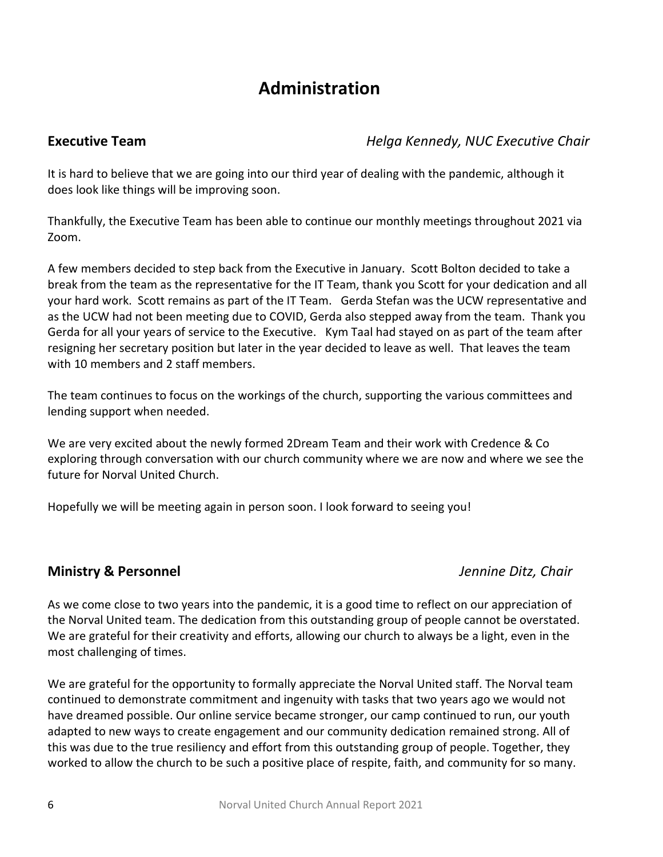## **Administration**

**Executive Team** *Helga Kennedy, NUC Executive Chair*

It is hard to believe that we are going into our third year of dealing with the pandemic, although it does look like things will be improving soon.

Thankfully, the Executive Team has been able to continue our monthly meetings throughout 2021 via Zoom.

A few members decided to step back from the Executive in January. Scott Bolton decided to take a break from the team as the representative for the IT Team, thank you Scott for your dedication and all your hard work. Scott remains as part of the IT Team. Gerda Stefan was the UCW representative and as the UCW had not been meeting due to COVID, Gerda also stepped away from the team. Thank you Gerda for all your years of service to the Executive. Kym Taal had stayed on as part of the team after resigning her secretary position but later in the year decided to leave as well. That leaves the team with 10 members and 2 staff members.

The team continues to focus on the workings of the church, supporting the various committees and lending support when needed.

We are very excited about the newly formed 2Dream Team and their work with Credence & Co exploring through conversation with our church community where we are now and where we see the future for Norval United Church.

Hopefully we will be meeting again in person soon. I look forward to seeing you!

## **Ministry & Personnel** *Jennine Ditz, Chair*

As we come close to two years into the pandemic, it is a good time to reflect on our appreciation of the Norval United team. The dedication from this outstanding group of people cannot be overstated. We are grateful for their creativity and efforts, allowing our church to always be a light, even in the most challenging of times.

We are grateful for the opportunity to formally appreciate the Norval United staff. The Norval team continued to demonstrate commitment and ingenuity with tasks that two years ago we would not have dreamed possible. Our online service became stronger, our camp continued to run, our youth adapted to new ways to create engagement and our community dedication remained strong. All of this was due to the true resiliency and effort from this outstanding group of people. Together, they worked to allow the church to be such a positive place of respite, faith, and community for so many.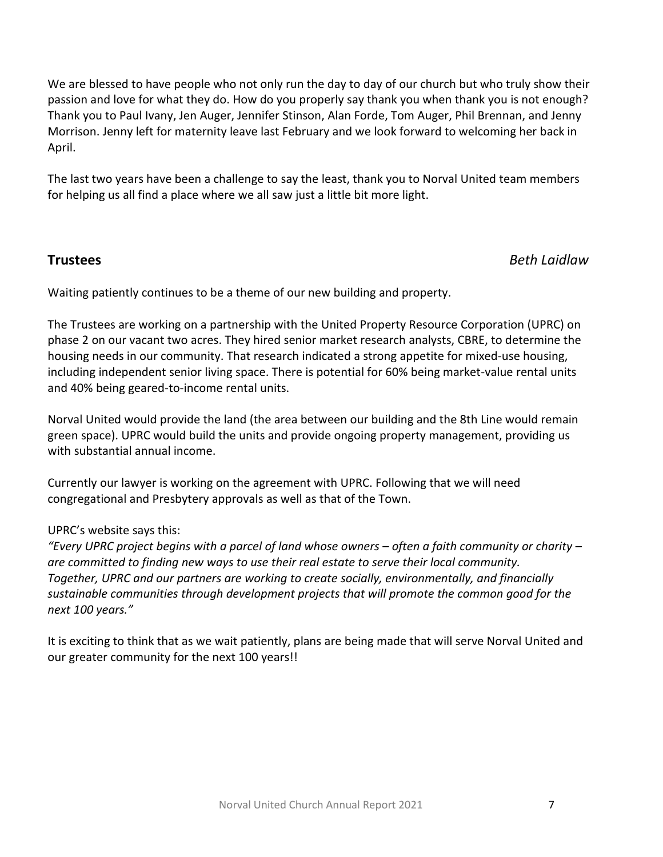We are blessed to have people who not only run the day to day of our church but who truly show their passion and love for what they do. How do you properly say thank you when thank you is not enough? Thank you to Paul Ivany, Jen Auger, Jennifer Stinson, Alan Forde, Tom Auger, Phil Brennan, and Jenny Morrison. Jenny left for maternity leave last February and we look forward to welcoming her back in April.

The last two years have been a challenge to say the least, thank you to Norval United team members for helping us all find a place where we all saw just a little bit more light.

### **Trustees** *Beth Laidlaw*

Waiting patiently continues to be a theme of our new building and property.

The Trustees are working on a partnership with the United Property Resource Corporation (UPRC) on phase 2 on our vacant two acres. They hired senior market research analysts, CBRE, to determine the housing needs in our community. That research indicated a strong appetite for mixed-use housing, including independent senior living space. There is potential for 60% being market-value rental units and 40% being geared-to-income rental units.

Norval United would provide the land (the area between our building and the 8th Line would remain green space). UPRC would build the units and provide ongoing property management, providing us with substantial annual income.

Currently our lawyer is working on the agreement with UPRC. Following that we will need congregational and Presbytery approvals as well as that of the Town.

### UPRC's website says this:

"Every UPRC project begins with a parcel of land whose owners – often a faith community or charity – *are committed to finding new ways to use their real estate to serve their local community. Together, UPRC and our partners are working to create socially, environmentally, and financially sustainable communities through development projects that will promote the common good for the next 100 years."*

It is exciting to think that as we wait patiently, plans are being made that will serve Norval United and our greater community for the next 100 years!!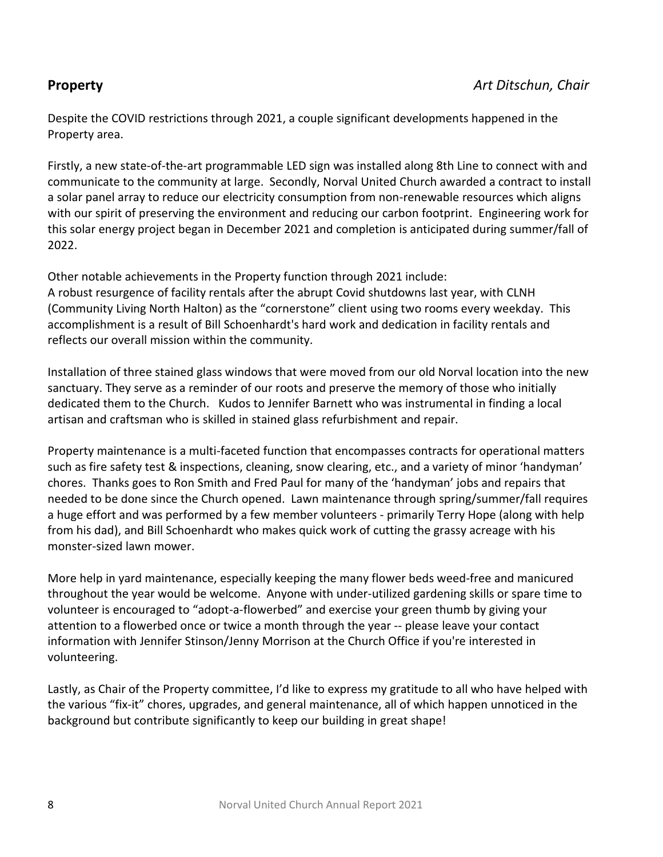Despite the COVID restrictions through 2021, a couple significant developments happened in the Property area.

Firstly, a new state-of-the-art programmable LED sign was installed along 8th Line to connect with and communicate to the community at large. Secondly, Norval United Church awarded a contract to install a solar panel array to reduce our electricity consumption from non-renewable resources which aligns with our spirit of preserving the environment and reducing our carbon footprint. Engineering work for this solar energy project began in December 2021 and completion is anticipated during summer/fall of 2022.

Other notable achievements in the Property function through 2021 include: A robust resurgence of facility rentals after the abrupt Covid shutdowns last year, with CLNH (Community Living North Halton) as the "cornerstone" client using two rooms every weekday. This accomplishment is a result of Bill Schoenhardt's hard work and dedication in facility rentals and reflects our overall mission within the community.

Installation of three stained glass windows that were moved from our old Norval location into the new sanctuary. They serve as a reminder of our roots and preserve the memory of those who initially dedicated them to the Church. Kudos to Jennifer Barnett who was instrumental in finding a local artisan and craftsman who is skilled in stained glass refurbishment and repair.

Property maintenance is a multi-faceted function that encompasses contracts for operational matters such as fire safety test & inspections, cleaning, snow clearing, etc., and a variety of minor 'handyman' chores. Thanks goes to Ron Smith and Fred Paul for many of the 'handyman' jobs and repairs that needed to be done since the Church opened. Lawn maintenance through spring/summer/fall requires a huge effort and was performed by a few member volunteers - primarily Terry Hope (along with help from his dad), and Bill Schoenhardt who makes quick work of cutting the grassy acreage with his monster-sized lawn mower.

More help in yard maintenance, especially keeping the many flower beds weed-free and manicured throughout the year would be welcome. Anyone with under-utilized gardening skills or spare time to volunteer is encouraged to "adopt-a-flowerbed" and exercise your green thumb by giving your attention to a flowerbed once or twice a month through the year -- please leave your contact information with Jennifer Stinson/Jenny Morrison at the Church Office if you're interested in volunteering.

Lastly, as Chair of the Property committee, I'd like to express my gratitude to all who have helped with the various "fix-it" chores, upgrades, and general maintenance, all of which happen unnoticed in the background but contribute significantly to keep our building in great shape!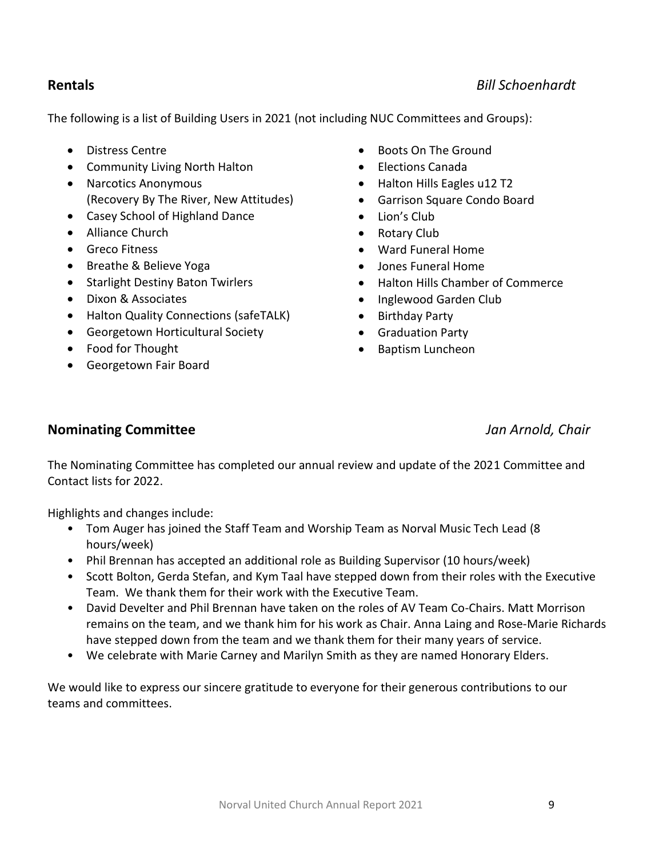### **Rentals** *Bill Schoenhardt*

The following is a list of Building Users in 2021 (not including NUC Committees and Groups):

- Distress Centre
- Community Living North Halton
- Narcotics Anonymous (Recovery By The River, New Attitudes)
- Casey School of Highland Dance
- Alliance Church
- Greco Fitness
- Breathe & Believe Yoga
- Starlight Destiny Baton Twirlers
- Dixon & Associates
- Halton Quality Connections (safeTALK)
- Georgetown Horticultural Society
- Food for Thought
- Georgetown Fair Board
- Boots On The Ground
- Elections Canada
- Halton Hills Eagles u12 T2
- Garrison Square Condo Board
- Lion's Club
- Rotary Club
- Ward Funeral Home
- Jones Funeral Home
- Halton Hills Chamber of Commerce
- Inglewood Garden Club
- Birthday Party
- Graduation Party
- Baptism Luncheon

### **Nominating Committee** *Jan Arnold, Chair*

The Nominating Committee has completed our annual review and update of the 2021 Committee and Contact lists for 2022.

Highlights and changes include:

- Tom Auger has joined the Staff Team and Worship Team as Norval Music Tech Lead (8 hours/week)
- Phil Brennan has accepted an additional role as Building Supervisor (10 hours/week)
- Scott Bolton, Gerda Stefan, and Kym Taal have stepped down from their roles with the Executive Team. We thank them for their work with the Executive Team.
- David Develter and Phil Brennan have taken on the roles of AV Team Co-Chairs. Matt Morrison remains on the team, and we thank him for his work as Chair. Anna Laing and Rose-Marie Richards have stepped down from the team and we thank them for their many years of service.
- We celebrate with Marie Carney and Marilyn Smith as they are named Honorary Elders.

We would like to express our sincere gratitude to everyone for their generous contributions to our teams and committees.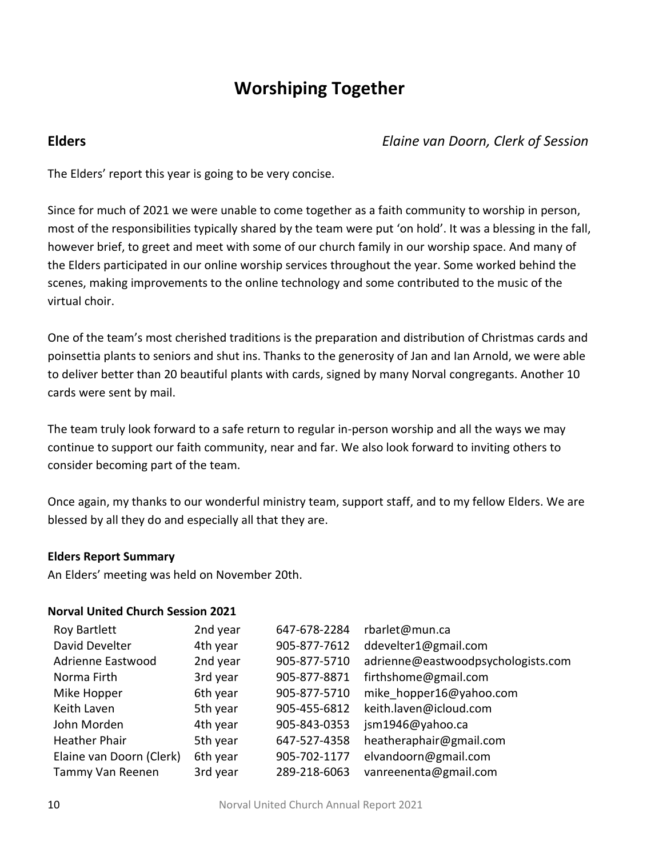# **Worshiping Together**

**Elders** *Elaine van Doorn, Clerk of Session*

The Elders' report this year is going to be very concise.

Since for much of 2021 we were unable to come together as a faith community to worship in person, most of the responsibilities typically shared by the team were put 'on hold'. It was a blessing in the fall, however brief, to greet and meet with some of our church family in our worship space. And many of the Elders participated in our online worship services throughout the year. Some worked behind the scenes, making improvements to the online technology and some contributed to the music of the virtual choir.

One of the team's most cherished traditions is the preparation and distribution of Christmas cards and poinsettia plants to seniors and shut ins. Thanks to the generosity of Jan and Ian Arnold, we were able to deliver better than 20 beautiful plants with cards, signed by many Norval congregants. Another 10 cards were sent by mail.

The team truly look forward to a safe return to regular in-person worship and all the ways we may continue to support our faith community, near and far. We also look forward to inviting others to consider becoming part of the team.

Once again, my thanks to our wonderful ministry team, support staff, and to my fellow Elders. We are blessed by all they do and especially all that they are.

### **Elders Report Summary**

An Elders' meeting was held on November 20th.

#### **Norval United Church Session 2021**

| <b>Roy Bartlett</b>      | 2nd year | 647-678-2284 | rbarlet@mun.ca                     |
|--------------------------|----------|--------------|------------------------------------|
| David Develter           | 4th year | 905-877-7612 | ddevelter1@gmail.com               |
| Adrienne Eastwood        | 2nd year | 905-877-5710 | adrienne@eastwoodpsychologists.com |
| Norma Firth              | 3rd year | 905-877-8871 | firthshome@gmail.com               |
| Mike Hopper              | 6th year | 905-877-5710 | mike hopper16@yahoo.com            |
| Keith Laven              | 5th year | 905-455-6812 | keith.laven@icloud.com             |
| John Morden              | 4th year | 905-843-0353 | jsm1946@yahoo.ca                   |
| <b>Heather Phair</b>     | 5th year | 647-527-4358 | heatheraphair@gmail.com            |
| Elaine van Doorn (Clerk) | 6th year | 905-702-1177 | elvandoorn@gmail.com               |
| Tammy Van Reenen         | 3rd year | 289-218-6063 | vanreenenta@gmail.com              |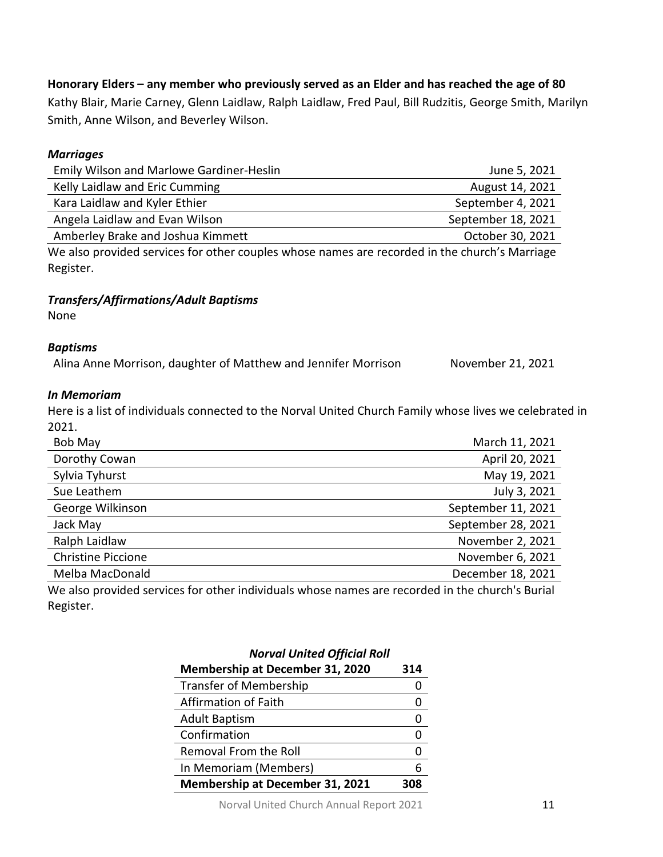#### Norval United Church Annual Report 2021 11

| <b>Membership at December 31, 2020</b> | 314 |
|----------------------------------------|-----|
| <b>Transfer of Membership</b>          |     |
| Affirmation of Faith                   |     |
| <b>Adult Baptism</b>                   |     |
| Confirmation                           |     |
| Removal From the Roll                  | O   |
| In Memoriam (Members)                  | 6   |
| Membership at December 31, 2021        | 308 |

*Norval United Official Roll*

# *Marriages*

| Emily Wilson and Marlowe Gardiner-Heslin | June 5, 2021       |
|------------------------------------------|--------------------|
| Kelly Laidlaw and Eric Cumming           | August 14, 2021    |
| Kara Laidlaw and Kyler Ethier            | September 4, 2021  |
| Angela Laidlaw and Evan Wilson           | September 18, 2021 |
| Amberley Brake and Joshua Kimmett        | October 30, 2021   |
|                                          |                    |

We also provided services for other couples whose names are recorded in the church's Marriage Register.

#### *Transfers/Affirmations/Adult Baptisms*

None

#### *Baptisms*

Alina Anne Morrison, daughter of Matthew and Jennifer Morrison November 21, 2021

#### *In Memoriam*

Here is a list of individuals connected to the Norval United Church Family whose lives we celebrated in 2021.

| Bob May                   | March 11, 2021     |
|---------------------------|--------------------|
| Dorothy Cowan             | April 20, 2021     |
| Sylvia Tyhurst            | May 19, 2021       |
| Sue Leathem               | July 3, 2021       |
| George Wilkinson          | September 11, 2021 |
| Jack May                  | September 28, 2021 |
| Ralph Laidlaw             | November 2, 2021   |
| <b>Christine Piccione</b> | November 6, 2021   |
| Melba MacDonald           | December 18, 2021  |

We also provided services for other individuals whose names are recorded in the church's Burial Register.

Kathy Blair, Marie Carney, Glenn Laidlaw, Ralph Laidlaw, Fred Paul, Bill Rudzitis, George Smith, Marilyn Smith, Anne Wilson, and Beverley Wilson.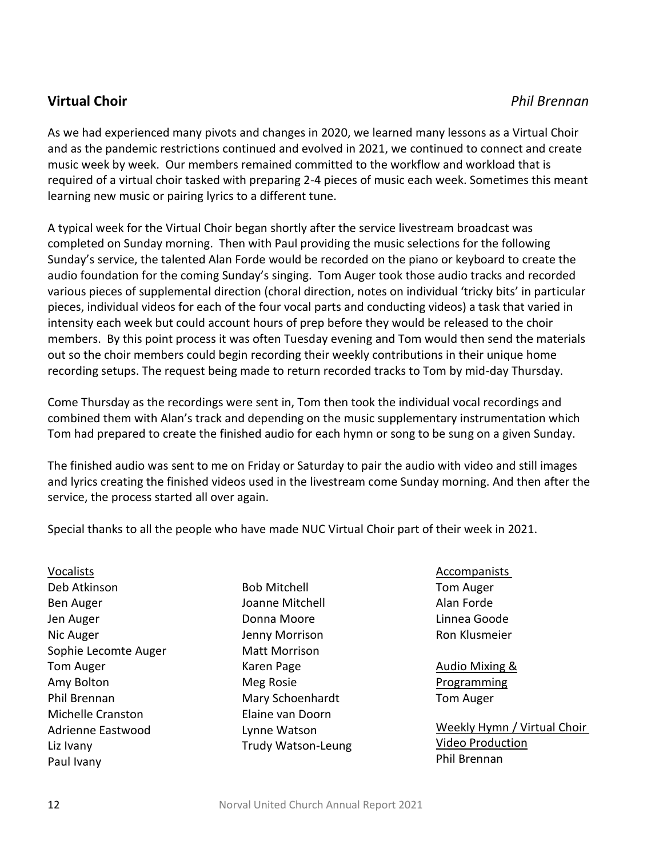## **Virtual Choir** *Phil Brennan*

As we had experienced many pivots and changes in 2020, we learned many lessons as a Virtual Choir and as the pandemic restrictions continued and evolved in 2021, we continued to connect and create music week by week. Our members remained committed to the workflow and workload that is required of a virtual choir tasked with preparing 2-4 pieces of music each week. Sometimes this meant learning new music or pairing lyrics to a different tune.

A typical week for the Virtual Choir began shortly after the service livestream broadcast was completed on Sunday morning. Then with Paul providing the music selections for the following Sunday's service, the talented Alan Forde would be recorded on the piano or keyboard to create the audio foundation for the coming Sunday's singing. Tom Auger took those audio tracks and recorded various pieces of supplemental direction (choral direction, notes on individual 'tricky bits' in particular pieces, individual videos for each of the four vocal parts and conducting videos) a task that varied in intensity each week but could account hours of prep before they would be released to the choir members. By this point process it was often Tuesday evening and Tom would then send the materials out so the choir members could begin recording their weekly contributions in their unique home recording setups. The request being made to return recorded tracks to Tom by mid-day Thursday.

Come Thursday as the recordings were sent in, Tom then took the individual vocal recordings and combined them with Alan's track and depending on the music supplementary instrumentation which Tom had prepared to create the finished audio for each hymn or song to be sung on a given Sunday.

The finished audio was sent to me on Friday or Saturday to pair the audio with video and still images and lyrics creating the finished videos used in the livestream come Sunday morning. And then after the service, the process started all over again.

Special thanks to all the people who have made NUC Virtual Choir part of their week in 2021.

Vocalists Deb Atkinson Ben Auger Jen Auger Nic Auger Sophie Lecomte Auger Tom Auger Amy Bolton Phil Brennan Michelle Cranston Adrienne Eastwood Liz Ivany Paul Ivany

Bob Mitchell Joanne Mitchell Donna Moore Jenny Morrison Matt Morrison Karen Page Meg Rosie Mary Schoenhardt Elaine van Doorn Lynne Watson Trudy Watson-Leung

## **Accompanists**

Tom Auger Alan Forde Linnea Goode Ron Klusmeier

Audio Mixing & **Programming** Tom Auger

Weekly Hymn / Virtual Choir Video Production Phil Brennan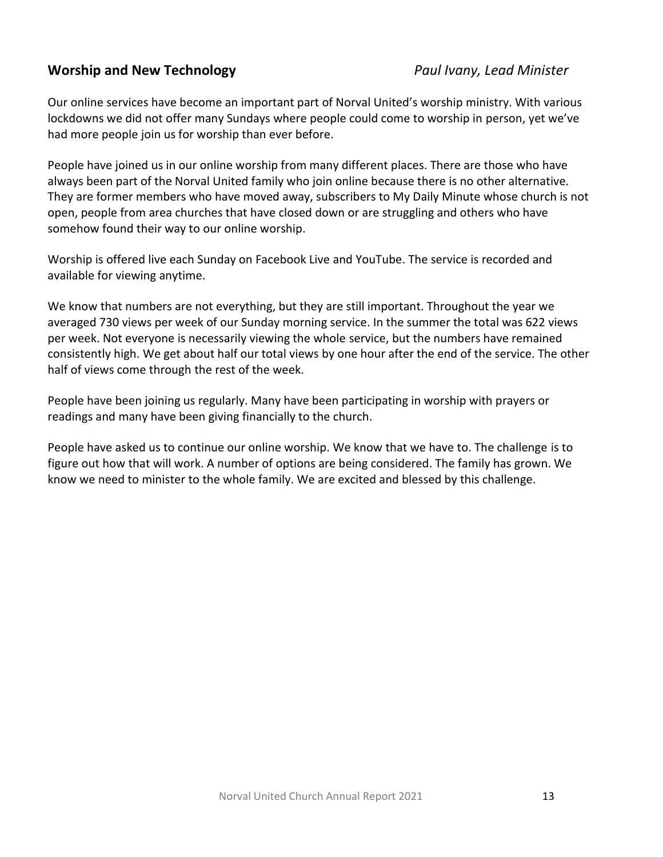## **Worship and New Technology** *Paul Ivany, Lead Minister*

Our online services have become an important part of Norval United's worship ministry. With various lockdowns we did not offer many Sundays where people could come to worship in person, yet we've had more people join us for worship than ever before.

People have joined us in our online worship from many different places. There are those who have always been part of the Norval United family who join online because there is no other alternative. They are former members who have moved away, subscribers to My Daily Minute whose church is not open, people from area churches that have closed down or are struggling and others who have somehow found their way to our online worship.

Worship is offered live each Sunday on Facebook Live and YouTube. The service is recorded and available for viewing anytime.

We know that numbers are not everything, but they are still important. Throughout the year we averaged 730 views per week of our Sunday morning service. In the summer the total was 622 views per week. Not everyone is necessarily viewing the whole service, but the numbers have remained consistently high. We get about half our total views by one hour after the end of the service. The other half of views come through the rest of the week.

People have been joining us regularly. Many have been participating in worship with prayers or readings and many have been giving financially to the church.

People have asked us to continue our online worship. We know that we have to. The challenge is to figure out how that will work. A number of options are being considered. The family has grown. We know we need to minister to the whole family. We are excited and blessed by this challenge.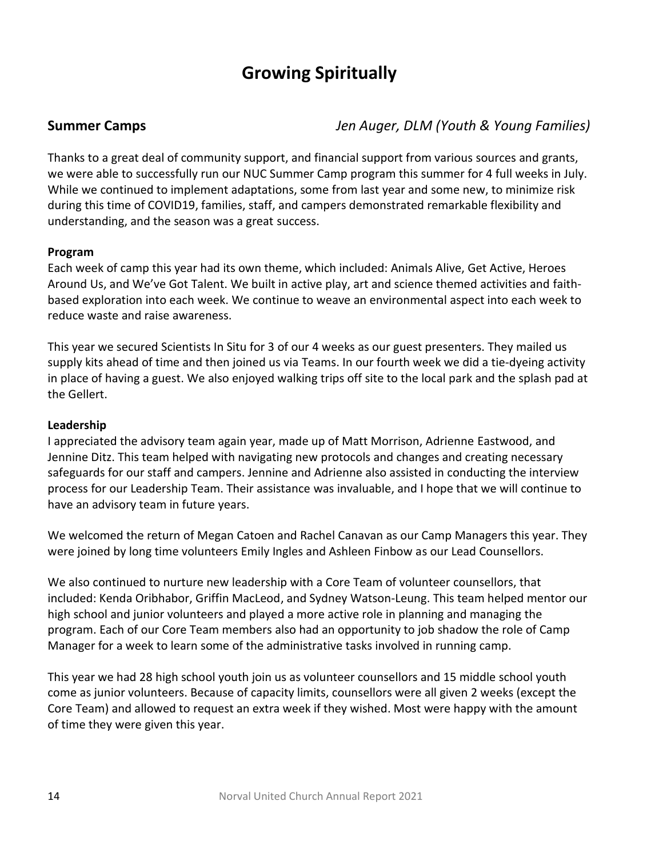# **Growing Spiritually**

**Summer Camps** *Jen Auger, DLM (Youth & Young Families)*

Thanks to a great deal of community support, and financial support from various sources and grants, we were able to successfully run our NUC Summer Camp program this summer for 4 full weeks in July. While we continued to implement adaptations, some from last year and some new, to minimize risk during this time of COVID19, families, staff, and campers demonstrated remarkable flexibility and understanding, and the season was a great success.

#### **Program**

Each week of camp this year had its own theme, which included: Animals Alive, Get Active, Heroes Around Us, and We've Got Talent. We built in active play, art and science themed activities and faithbased exploration into each week. We continue to weave an environmental aspect into each week to reduce waste and raise awareness.

This year we secured Scientists In Situ for 3 of our 4 weeks as our guest presenters. They mailed us supply kits ahead of time and then joined us via Teams. In our fourth week we did a tie-dyeing activity in place of having a guest. We also enjoyed walking trips off site to the local park and the splash pad at the Gellert.

#### **Leadership**

I appreciated the advisory team again year, made up of Matt Morrison, Adrienne Eastwood, and Jennine Ditz. This team helped with navigating new protocols and changes and creating necessary safeguards for our staff and campers. Jennine and Adrienne also assisted in conducting the interview process for our Leadership Team. Their assistance was invaluable, and I hope that we will continue to have an advisory team in future years.

We welcomed the return of Megan Catoen and Rachel Canavan as our Camp Managers this year. They were joined by long time volunteers Emily Ingles and Ashleen Finbow as our Lead Counsellors.

We also continued to nurture new leadership with a Core Team of volunteer counsellors, that included: Kenda Oribhabor, Griffin MacLeod, and Sydney Watson-Leung. This team helped mentor our high school and junior volunteers and played a more active role in planning and managing the program. Each of our Core Team members also had an opportunity to job shadow the role of Camp Manager for a week to learn some of the administrative tasks involved in running camp.

This year we had 28 high school youth join us as volunteer counsellors and 15 middle school youth come as junior volunteers. Because of capacity limits, counsellors were all given 2 weeks (except the Core Team) and allowed to request an extra week if they wished. Most were happy with the amount of time they were given this year.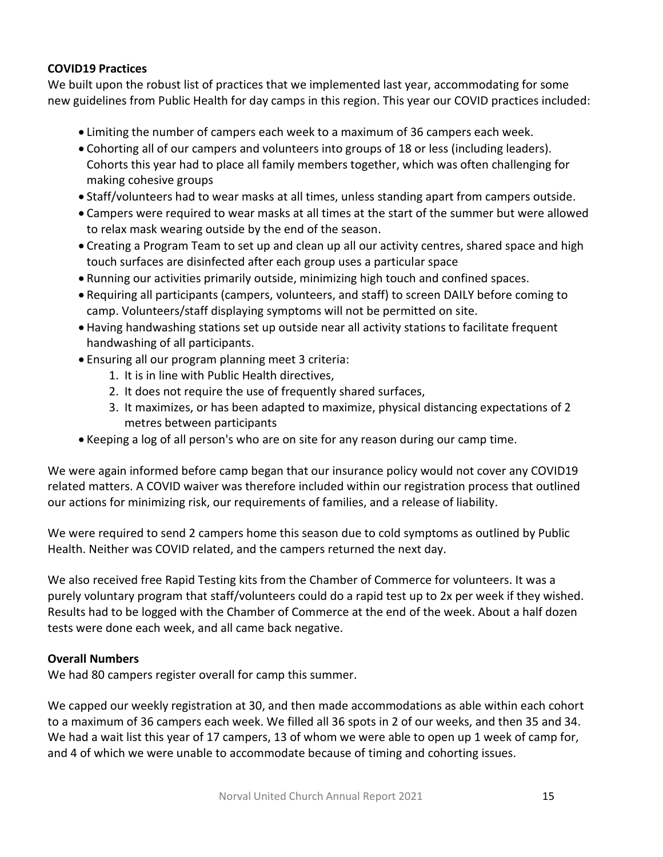### **COVID19 Practices**

We built upon the robust list of practices that we implemented last year, accommodating for some new guidelines from Public Health for day camps in this region. This year our COVID practices included:

- Limiting the number of campers each week to a maximum of 36 campers each week.
- Cohorting all of our campers and volunteers into groups of 18 or less (including leaders). Cohorts this year had to place all family members together, which was often challenging for making cohesive groups
- Staff/volunteers had to wear masks at all times, unless standing apart from campers outside.
- Campers were required to wear masks at all times at the start of the summer but were allowed to relax mask wearing outside by the end of the season.
- Creating a Program Team to set up and clean up all our activity centres, shared space and high touch surfaces are disinfected after each group uses a particular space
- Running our activities primarily outside, minimizing high touch and confined spaces.
- Requiring all participants (campers, volunteers, and staff) to screen DAILY before coming to camp. Volunteers/staff displaying symptoms will not be permitted on site.
- Having handwashing stations set up outside near all activity stations to facilitate frequent handwashing of all participants.
- Ensuring all our program planning meet 3 criteria:
	- 1. It is in line with Public Health directives,
	- 2. It does not require the use of frequently shared surfaces,
	- 3. It maximizes, or has been adapted to maximize, physical distancing expectations of 2 metres between participants
- Keeping a log of all person's who are on site for any reason during our camp time.

We were again informed before camp began that our insurance policy would not cover any COVID19 related matters. A COVID waiver was therefore included within our registration process that outlined our actions for minimizing risk, our requirements of families, and a release of liability.

We were required to send 2 campers home this season due to cold symptoms as outlined by Public Health. Neither was COVID related, and the campers returned the next day.

We also received free Rapid Testing kits from the Chamber of Commerce for volunteers. It was a purely voluntary program that staff/volunteers could do a rapid test up to 2x per week if they wished. Results had to be logged with the Chamber of Commerce at the end of the week. About a half dozen tests were done each week, and all came back negative.

### **Overall Numbers**

We had 80 campers register overall for camp this summer.

We capped our weekly registration at 30, and then made accommodations as able within each cohort to a maximum of 36 campers each week. We filled all 36 spots in 2 of our weeks, and then 35 and 34. We had a wait list this year of 17 campers, 13 of whom we were able to open up 1 week of camp for, and 4 of which we were unable to accommodate because of timing and cohorting issues.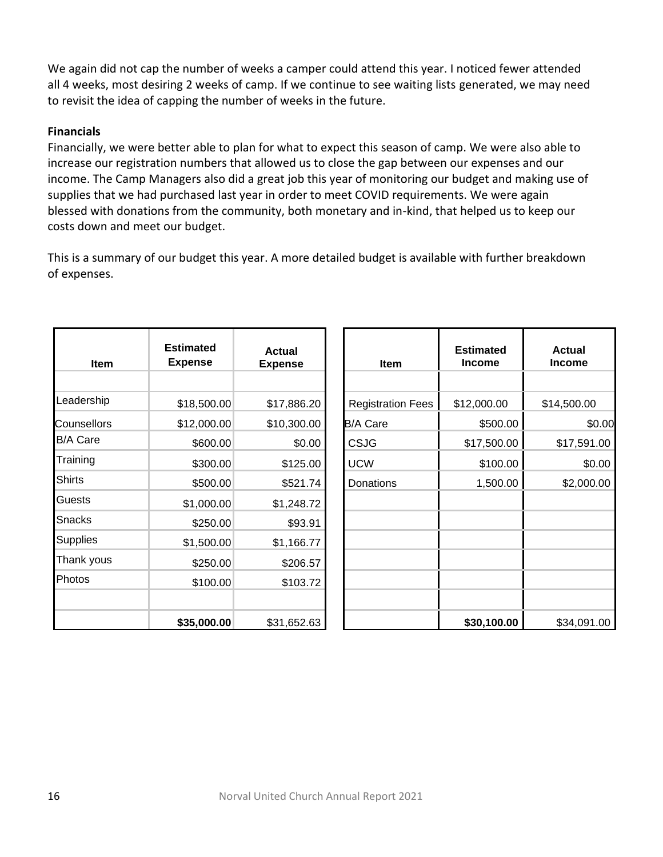We again did not cap the number of weeks a camper could attend this year. I noticed fewer attended all 4 weeks, most desiring 2 weeks of camp. If we continue to see waiting lists generated, we may need to revisit the idea of capping the number of weeks in the future.

#### **Financials**

Financially, we were better able to plan for what to expect this season of camp. We were also able to increase our registration numbers that allowed us to close the gap between our expenses and our income. The Camp Managers also did a great job this year of monitoring our budget and making use of supplies that we had purchased last year in order to meet COVID requirements. We were again blessed with donations from the community, both monetary and in-kind, that helped us to keep our costs down and meet our budget.

This is a summary of our budget this year. A more detailed budget is available with further breakdown of expenses.

| Item               | <b>Estimated</b><br><b>Expense</b> | <b>Actual</b><br><b>Expense</b> | <b>Item</b>              | <b>Estimated</b><br><b>Income</b> | <b>Actual</b><br><b>Income</b> |
|--------------------|------------------------------------|---------------------------------|--------------------------|-----------------------------------|--------------------------------|
|                    |                                    |                                 |                          |                                   |                                |
| Leadership         | \$18,500.00                        | \$17,886.20                     | <b>Registration Fees</b> | \$12,000.00                       | \$14,500.00                    |
| <b>Counsellors</b> | \$12,000.00                        | \$10,300.00                     | <b>B/A Care</b>          | \$500.00                          | \$0.00                         |
| <b>B/A Care</b>    | \$600.00                           | \$0.00                          | <b>CSJG</b>              | \$17,500.00                       | \$17,591.00                    |
| Training           | \$300.00                           | \$125.00                        | <b>UCW</b>               | \$100.00                          | \$0.00                         |
| <b>Shirts</b>      | \$500.00                           | \$521.74                        | Donations                | 1,500.00                          | \$2,000.00                     |
| Guests             | \$1,000.00                         | \$1,248.72                      |                          |                                   |                                |
| Snacks             | \$250.00                           | \$93.91                         |                          |                                   |                                |
| <b>Supplies</b>    | \$1,500.00                         | \$1,166.77                      |                          |                                   |                                |
| Thank yous         | \$250.00                           | \$206.57                        |                          |                                   |                                |
| Photos             | \$100.00                           | \$103.72                        |                          |                                   |                                |
|                    |                                    |                                 |                          |                                   |                                |
|                    | \$35,000.00                        | \$31,652.63                     |                          | \$30,100.00                       | \$34,091.00                    |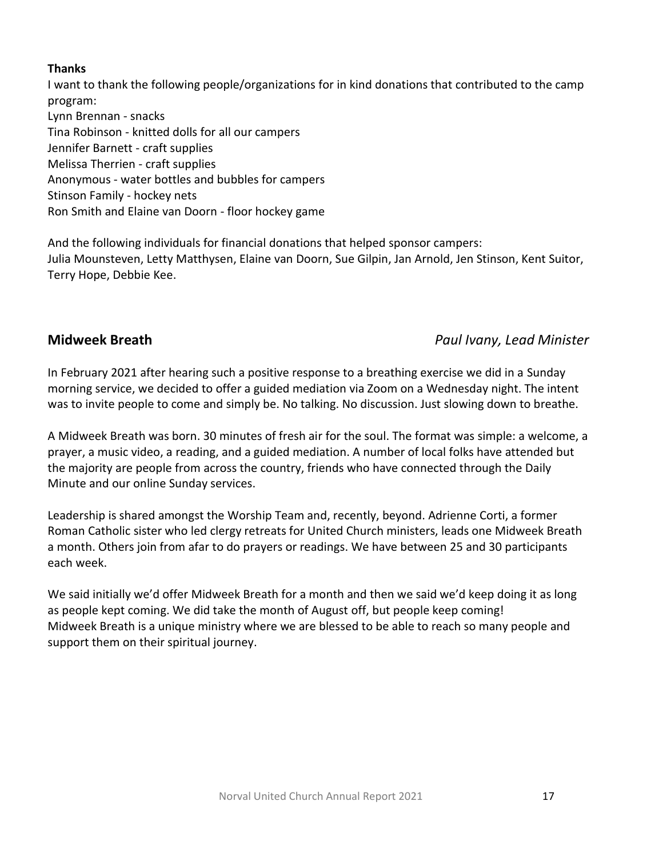### **Thanks**

I want to thank the following people/organizations for in kind donations that contributed to the camp program: Lynn Brennan - snacks Tina Robinson - knitted dolls for all our campers Jennifer Barnett - craft supplies Melissa Therrien - craft supplies Anonymous - water bottles and bubbles for campers Stinson Family - hockey nets Ron Smith and Elaine van Doorn - floor hockey game

And the following individuals for financial donations that helped sponsor campers: Julia Mounsteven, Letty Matthysen, Elaine van Doorn, Sue Gilpin, Jan Arnold, Jen Stinson, Kent Suitor, Terry Hope, Debbie Kee.

## **Midweek Breath** *Paul Ivany, Lead Minister*

In February 2021 after hearing such a positive response to a breathing exercise we did in a Sunday morning service, we decided to offer a guided mediation via Zoom on a Wednesday night. The intent was to invite people to come and simply be. No talking. No discussion. Just slowing down to breathe.

A Midweek Breath was born. 30 minutes of fresh air for the soul. The format was simple: a welcome, a prayer, a music video, a reading, and a guided mediation. A number of local folks have attended but the majority are people from across the country, friends who have connected through the Daily Minute and our online Sunday services.

Leadership is shared amongst the Worship Team and, recently, beyond. Adrienne Corti, a former Roman Catholic sister who led clergy retreats for United Church ministers, leads one Midweek Breath a month. Others join from afar to do prayers or readings. We have between 25 and 30 participants each week.

We said initially we'd offer Midweek Breath for a month and then we said we'd keep doing it as long as people kept coming. We did take the month of August off, but people keep coming! Midweek Breath is a unique ministry where we are blessed to be able to reach so many people and support them on their spiritual journey.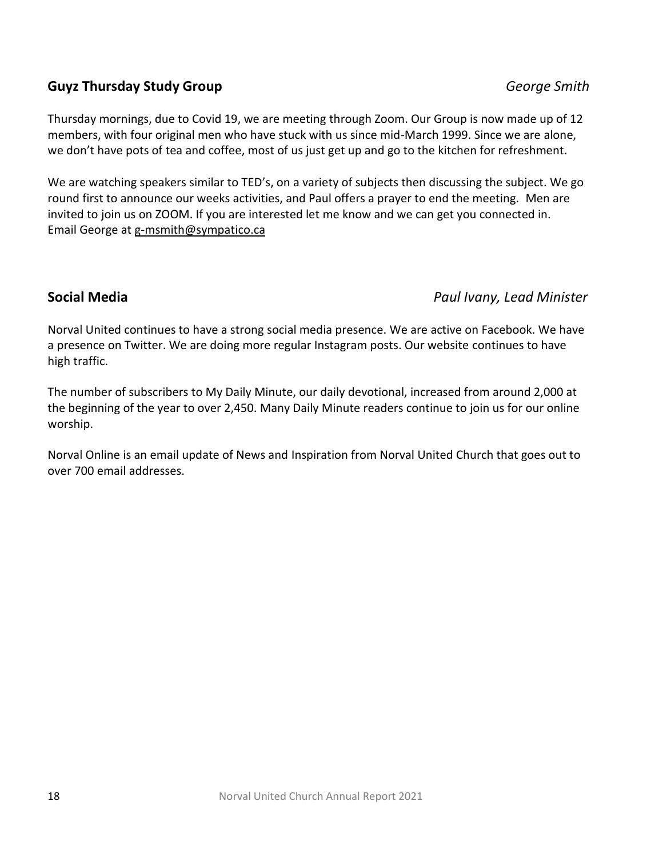## **Guyz Thursday Study Group** *George Smith*

Thursday mornings, due to Covid 19, we are meeting through Zoom. Our Group is now made up of 12 members, with four original men who have stuck with us since mid-March 1999. Since we are alone, we don't have pots of tea and coffee, most of us just get up and go to the kitchen for refreshment.

We are watching speakers similar to TED's, on a variety of subjects then discussing the subject. We go round first to announce our weeks activities, and Paul offers a prayer to end the meeting. Men are invited to join us on ZOOM. If you are interested let me know and we can get you connected in. Email George at [g-msmith@sympatico.ca](mailto:g-msmith@sympatico.ca)

### **Social Media** *Paul Ivany, Lead Minister*

Norval United continues to have a strong social media presence. We are active on Facebook. We have a presence on Twitter. We are doing more regular Instagram posts. Our website continues to have high traffic.

The number of subscribers to My Daily Minute, our daily devotional, increased from around 2,000 at the beginning of the year to over 2,450. Many Daily Minute readers continue to join us for our online worship.

Norval Online is an email update of News and Inspiration from Norval United Church that goes out to over 700 email addresses.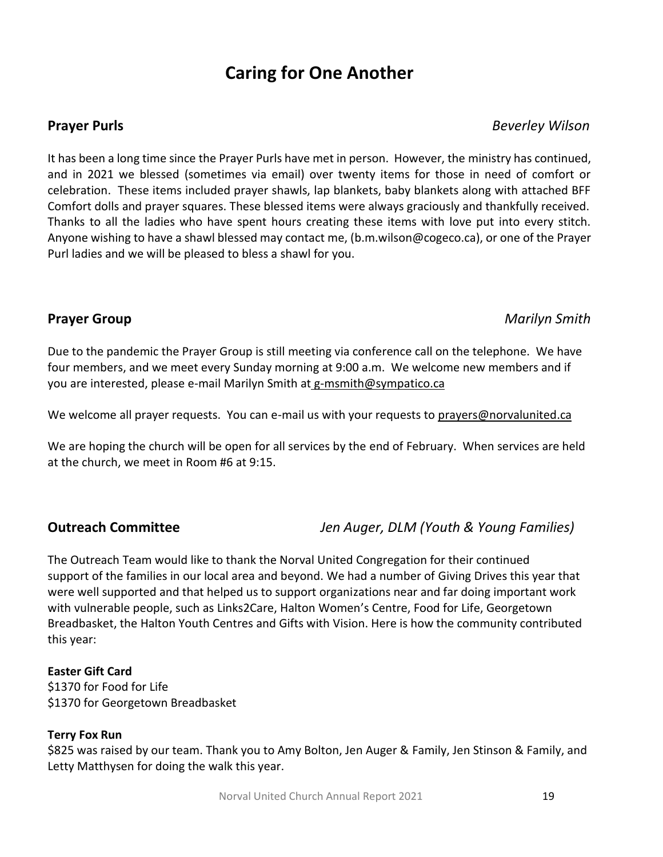## **Caring for One Another**

### **Prayer Purls** *Beverley Wilson*

It has been a long time since the Prayer Purls have met in person. However, the ministry has continued, and in 2021 we blessed (sometimes via email) over twenty items for those in need of comfort or celebration. These items included prayer shawls, lap blankets, baby blankets along with attached BFF Comfort dolls and prayer squares. These blessed items were always graciously and thankfully received. Thanks to all the ladies who have spent hours creating these items with love put into every stitch. Anyone wishing to have a shawl blessed may contact me, [\(b.m.wilson@cogeco.ca\)](mailto:b.m.wilson@cogeco.ca), or one of the Prayer Purl ladies and we will be pleased to bless a shawl for you.

### **Prayer Group** *Marilyn Smith*

Due to the pandemic the Prayer Group is still meeting via conference call on the telephone. We have four members, and we meet every Sunday morning at 9:00 a.m. We welcome new members and if you are interested, please e-mail Marilyn Smith at [g-msmith@sympatico.ca](mailto:g-msmith@sympatico.ca)

We welcome all prayer requests. You can e-mail us with your requests to [prayers@norvalunited.ca](mailto:prayers@norvalunited.ca)

We are hoping the church will be open for all services by the end of February. When services are held at the church, we meet in Room #6 at 9:15.

### **Outreach Committee** *Jen Auger, DLM (Youth & Young Families)*

The Outreach Team would like to thank the Norval United Congregation for their continued support of the families in our local area and beyond. We had a number of Giving Drives this year that were well supported and that helped us to support organizations near and far doing important work with vulnerable people, such as Links2Care, Halton Women's Centre, Food for Life, Georgetown Breadbasket, the Halton Youth Centres and Gifts with Vision. Here is how the community contributed this year:

#### **Easter Gift Card**

\$1370 for Food for Life \$1370 for Georgetown Breadbasket

#### **Terry Fox Run**

\$825 was raised by our team. Thank you to Amy Bolton, Jen Auger & Family, Jen Stinson & Family, and Letty Matthysen for doing the walk this year.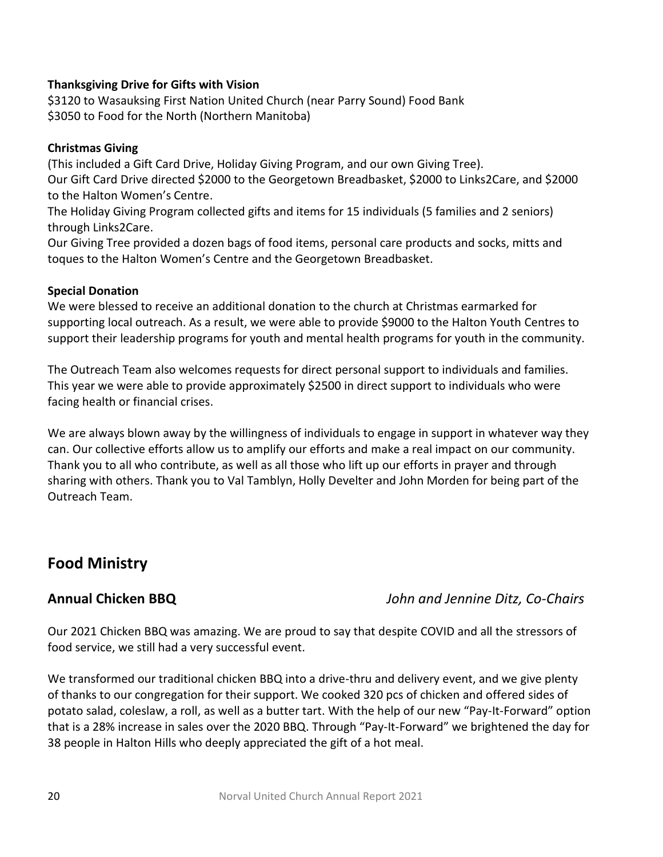### **Thanksgiving Drive for Gifts with Vision**

\$3120 to Wasauksing First Nation United Church (near Parry Sound) Food Bank \$3050 to Food for the North (Northern Manitoba)

### **Christmas Giving**

(This included a Gift Card Drive, Holiday Giving Program, and our own Giving Tree). Our Gift Card Drive directed \$2000 to the Georgetown Breadbasket, \$2000 to Links2Care, and \$2000 to the Halton Women's Centre.

The Holiday Giving Program collected gifts and items for 15 individuals (5 families and 2 seniors) through Links2Care.

Our Giving Tree provided a dozen bags of food items, personal care products and socks, mitts and toques to the Halton Women's Centre and the Georgetown Breadbasket.

### **Special Donation**

We were blessed to receive an additional donation to the church at Christmas earmarked for supporting local outreach. As a result, we were able to provide \$9000 to the Halton Youth Centres to support their leadership programs for youth and mental health programs for youth in the community.

The Outreach Team also welcomes requests for direct personal support to individuals and families. This year we were able to provide approximately \$2500 in direct support to individuals who were facing health or financial crises.

We are always blown away by the willingness of individuals to engage in support in whatever way they can. Our collective efforts allow us to amplify our efforts and make a real impact on our community. Thank you to all who contribute, as well as all those who lift up our efforts in prayer and through sharing with others. Thank you to Val Tamblyn, Holly Develter and John Morden for being part of the Outreach Team.

## **Food Ministry**

## **Annual Chicken BBQ** *John and Jennine Ditz, Co-Chairs*

Our 2021 Chicken BBQ was amazing. We are proud to say that despite COVID and all the stressors of food service, we still had a very successful event.

We transformed our traditional chicken BBQ into a drive-thru and delivery event, and we give plenty of thanks to our congregation for their support. We cooked 320 pcs of chicken and offered sides of potato salad, coleslaw, a roll, as well as a butter tart. With the help of our new "Pay-It-Forward" option that is a 28% increase in sales over the 2020 BBQ. Through "Pay-It-Forward" we brightened the day for 38 people in Halton Hills who deeply appreciated the gift of a hot meal.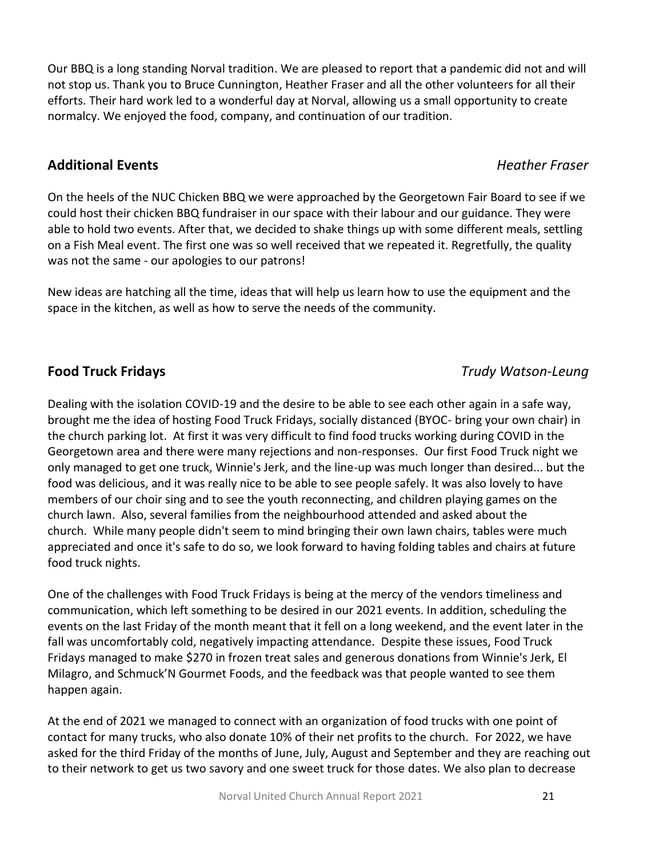Our BBQ is a long standing Norval tradition. We are pleased to report that a pandemic did not and will not stop us. Thank you to Bruce Cunnington, Heather Fraser and all the other volunteers for all their efforts. Their hard work led to a wonderful day at Norval, allowing us a small opportunity to create normalcy. We enjoyed the food, company, and continuation of our tradition.

### **Additional Events** *Heather Fraser*

On the heels of the NUC Chicken BBQ we were approached by the Georgetown Fair Board to see if we could host their chicken BBQ fundraiser in our space with their labour and our guidance. They were able to hold two events. After that, we decided to shake things up with some different meals, settling on a Fish Meal event. The first one was so well received that we repeated it. Regretfully, the quality was not the same - our apologies to our patrons!

New ideas are hatching all the time, ideas that will help us learn how to use the equipment and the space in the kitchen, as well as how to serve the needs of the community.

## **Food Truck Fridays** *Trudy Watson-Leung*

Dealing with the isolation COVID-19 and the desire to be able to see each other again in a safe way, brought me the idea of hosting Food Truck Fridays, socially distanced (BYOC- bring your own chair) in the church parking lot. At first it was very difficult to find food trucks working during COVID in the Georgetown area and there were many rejections and non-responses. Our first Food Truck night we only managed to get one truck, Winnie's Jerk, and the line-up was much longer than desired... but the food was delicious, and it was really nice to be able to see people safely. It was also lovely to have members of our choir sing and to see the youth reconnecting, and children playing games on the church lawn. Also, several families from the neighbourhood attended and asked about the church. While many people didn't seem to mind bringing their own lawn chairs, tables were much appreciated and once it's safe to do so, we look forward to having folding tables and chairs at future food truck nights.

One of the challenges with Food Truck Fridays is being at the mercy of the vendors timeliness and communication, which left something to be desired in our 2021 events. In addition, scheduling the events on the last Friday of the month meant that it fell on a long weekend, and the event later in the fall was uncomfortably cold, negatively impacting attendance. Despite these issues, Food Truck Fridays managed to make \$270 in frozen treat sales and generous donations from Winnie's Jerk, El Milagro, and Schmuck'N Gourmet Foods, and the feedback was that people wanted to see them happen again.

At the end of 2021 we managed to connect with an organization of food trucks with one point of contact for many trucks, who also donate 10% of their net profits to the church. For 2022, we have asked for the third Friday of the months of June, July, August and September and they are reaching out to their network to get us two savory and one sweet truck for those dates. We also plan to decrease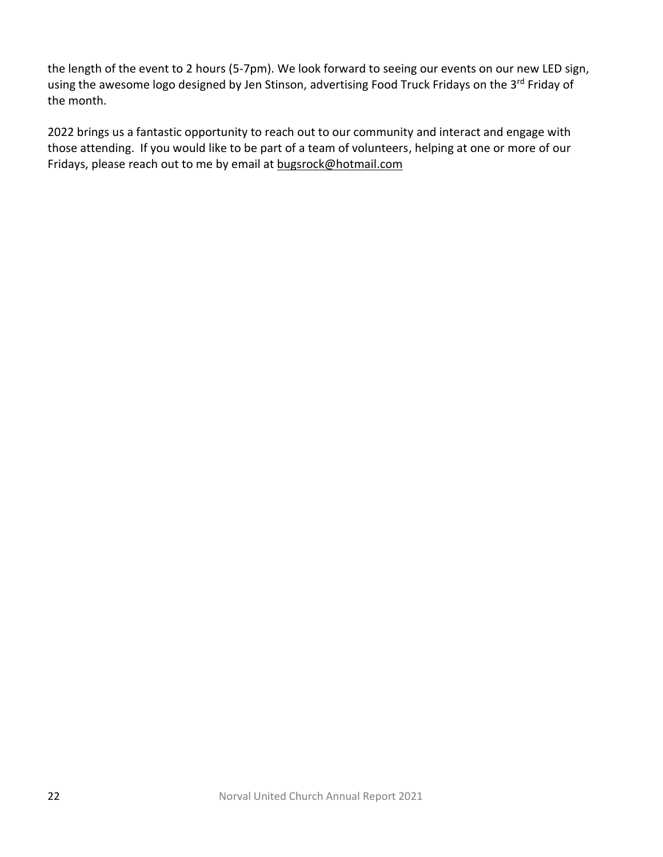the length of the event to 2 hours (5-7pm). We look forward to seeing our events on our new LED sign, using the awesome logo designed by Jen Stinson, advertising Food Truck Fridays on the 3<sup>rd</sup> Friday of the month.

2022 brings us a fantastic opportunity to reach out to our community and interact and engage with those attending. If you would like to be part of a team of volunteers, helping at one or more of our Fridays, please reach out to me by email a[t bugsrock@hotmail.com](mailto:bugsrock@hotmail.com)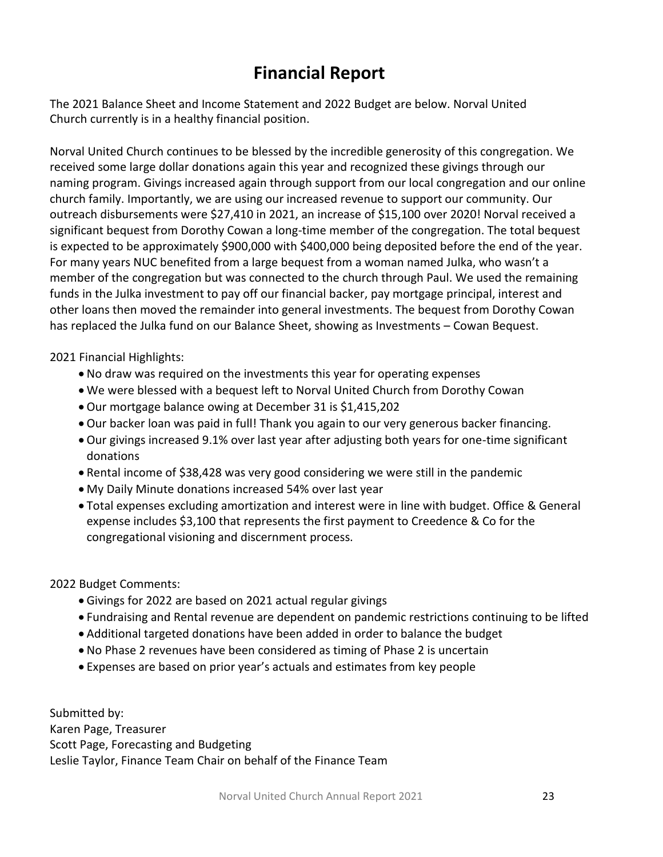# **Financial Report**

The 2021 Balance Sheet and Income Statement and 2022 Budget are below. Norval United Church currently is in a healthy financial position.

Norval United Church continues to be blessed by the incredible generosity of this congregation. We received some large dollar donations again this year and recognized these givings through our naming program. Givings increased again through support from our local congregation and our online church family. Importantly, we are using our increased revenue to support our community. Our outreach disbursements were \$27,410 in 2021, an increase of \$15,100 over 2020! Norval received a significant bequest from Dorothy Cowan a long-time member of the congregation. The total bequest is expected to be approximately \$900,000 with \$400,000 being deposited before the end of the year. For many years NUC benefited from a large bequest from a woman named Julka, who wasn't a member of the congregation but was connected to the church through Paul. We used the remaining funds in the Julka investment to pay off our financial backer, pay mortgage principal, interest and other loans then moved the remainder into general investments. The bequest from Dorothy Cowan has replaced the Julka fund on our Balance Sheet, showing as Investments – Cowan Bequest.

2021 Financial Highlights:

- No draw was required on the investments this year for operating expenses
- We were blessed with a bequest left to Norval United Church from Dorothy Cowan
- Our mortgage balance owing at December 31 is \$1,415,202
- Our backer loan was paid in full! Thank you again to our very generous backer financing.
- Our givings increased 9.1% over last year after adjusting both years for one-time significant donations
- Rental income of \$38,428 was very good considering we were still in the pandemic
- My Daily Minute donations increased 54% over last year
- Total expenses excluding amortization and interest were in line with budget. Office & General expense includes \$3,100 that represents the first payment to Creedence & Co for the congregational visioning and discernment process.

2022 Budget Comments:

- Givings for 2022 are based on 2021 actual regular givings
- Fundraising and Rental revenue are dependent on pandemic restrictions continuing to be lifted
- Additional targeted donations have been added in order to balance the budget
- No Phase 2 revenues have been considered as timing of Phase 2 is uncertain
- Expenses are based on prior year's actuals and estimates from key people

Submitted by: Karen Page, Treasurer Scott Page, Forecasting and Budgeting Leslie Taylor, Finance Team Chair on behalf of the Finance Team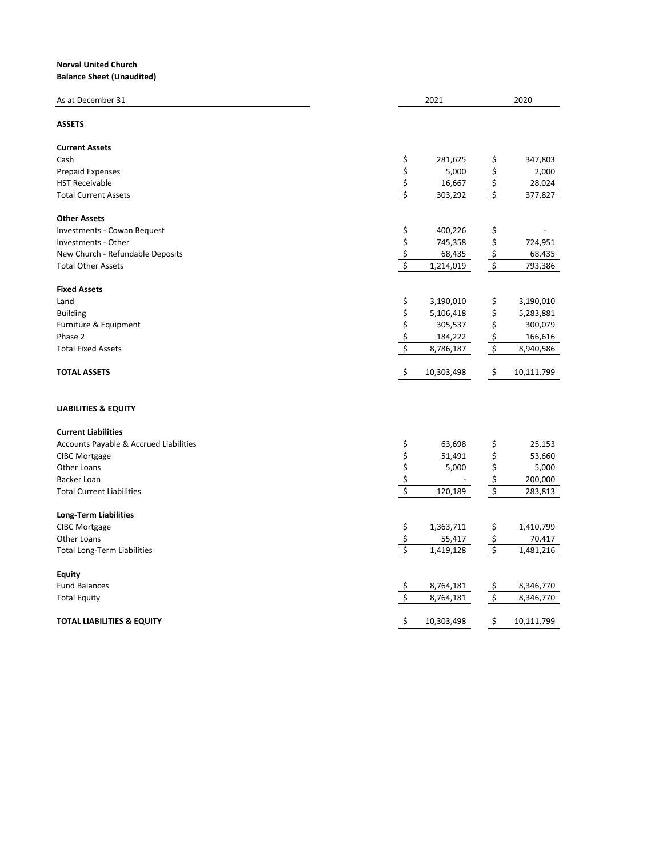#### **Norval United Church Balance Sheet (Unaudited)**

| As at December 31                      |                                     | 2021       |                         | 2020       |
|----------------------------------------|-------------------------------------|------------|-------------------------|------------|
| <b>ASSETS</b>                          |                                     |            |                         |            |
| <b>Current Assets</b>                  |                                     |            |                         |            |
| Cash                                   | \$                                  | 281,625    | \$                      | 347,803    |
| <b>Prepaid Expenses</b>                | \$                                  | 5,000      | \$                      | 2,000      |
| <b>HST Receivable</b>                  | \$                                  | 16,667     | \$                      | 28,024     |
| <b>Total Current Assets</b>            | $\overline{\xi}$                    | 303,292    | $\boldsymbol{\xi}$      | 377,827    |
| <b>Other Assets</b>                    |                                     |            |                         |            |
| Investments - Cowan Bequest            | \$                                  | 400,226    | \$                      |            |
| Investments - Other                    | \$                                  | 745,358    | \$                      | 724,951    |
| New Church - Refundable Deposits       |                                     | 68,435     | \$                      | 68,435     |
| <b>Total Other Assets</b>              | $rac{\xi}{\xi}$                     | 1,214,019  | \$                      | 793,386    |
| <b>Fixed Assets</b>                    |                                     |            |                         |            |
| Land                                   | \$                                  | 3,190,010  | \$                      | 3,190,010  |
| <b>Building</b>                        | \$                                  | 5,106,418  | \$                      | 5,283,881  |
| Furniture & Equipment                  | \$                                  | 305,537    | \$                      | 300,079    |
| Phase 2                                | \$                                  | 184,222    | \$                      | 166,616    |
| <b>Total Fixed Assets</b>              | \$                                  | 8,786,187  | \$                      | 8,940,586  |
| <b>TOTAL ASSETS</b>                    | \$                                  | 10,303,498 | \$                      | 10,111,799 |
| <b>LIABILITIES &amp; EQUITY</b>        |                                     |            |                         |            |
| <b>Current Liabilities</b>             |                                     |            |                         |            |
| Accounts Payable & Accrued Liabilities | \$                                  | 63,698     | \$                      | 25,153     |
| <b>CIBC Mortgage</b>                   | \$                                  | 51,491     | \$                      | 53,660     |
| Other Loans                            | \$                                  | 5,000      | \$                      | 5,000      |
| Backer Loan                            | \$                                  |            | \$                      | 200,000    |
| <b>Total Current Liabilities</b>       | $\overline{\boldsymbol{\varsigma}}$ | 120,189    | $\overline{\mathbf{S}}$ | 283,813    |
| <b>Long-Term Liabilities</b>           |                                     |            |                         |            |
| CIBC Mortgage                          | \$                                  | 1,363,711  | \$                      | 1,410,799  |
| Other Loans                            | \$                                  | 55,417     | \$                      | 70,417     |
| <b>Total Long-Term Liabilities</b>     | $\overline{\mathbf{S}}$             | 1,419,128  | $\overline{\mathbf{S}}$ | 1,481,216  |
| <b>Equity</b>                          |                                     |            |                         |            |
| <b>Fund Balances</b>                   | <u>\$</u>                           | 8,764,181  | <u>\$</u>               | 8,346,770  |
| <b>Total Equity</b>                    | \$                                  | 8,764,181  | \$                      | 8,346,770  |
| <b>TOTAL LIABILITIES &amp; EQUITY</b>  | \$                                  | 10,303,498 | \$                      | 10,111,799 |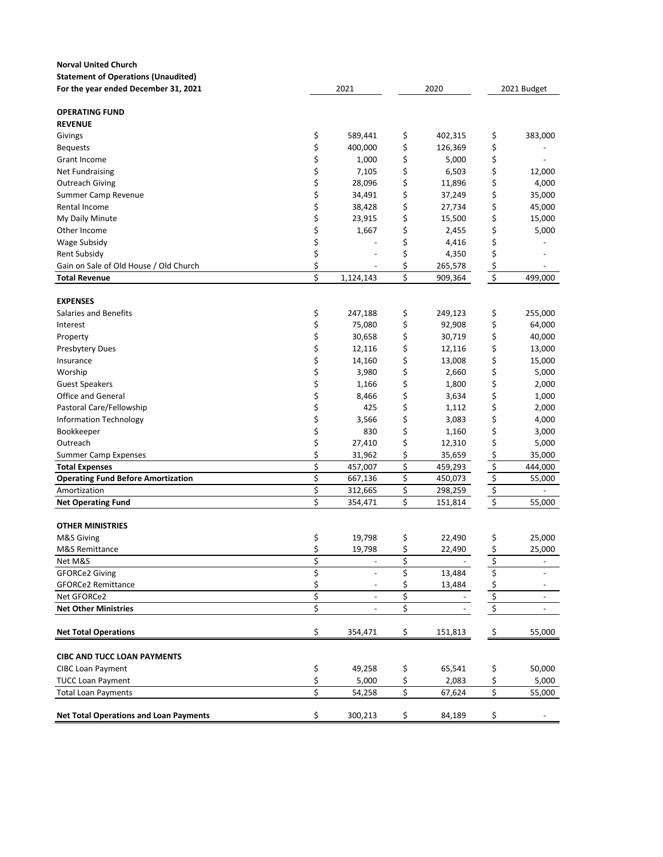| <b>Norval United Church</b>                   |    |                          |    |                          |                                     |                              |
|-----------------------------------------------|----|--------------------------|----|--------------------------|-------------------------------------|------------------------------|
| <b>Statement of Operations (Unaudited)</b>    |    |                          |    |                          |                                     |                              |
| For the year ended December 31, 2021          |    | 2021                     |    | 2020                     |                                     | 2021 Budget                  |
| <b>OPERATING FUND</b>                         |    |                          |    |                          |                                     |                              |
| <b>REVENUE</b>                                |    |                          |    |                          |                                     |                              |
| Givings                                       | \$ | 589,441                  | \$ | 402,315                  | \$                                  | 383,000                      |
| <b>Bequests</b>                               | \$ | 400,000                  | \$ | 126,369                  | \$                                  |                              |
| Grant Income                                  | \$ | 1,000                    | \$ | 5,000                    | \$                                  |                              |
| <b>Net Fundraising</b>                        | \$ | 7,105                    | \$ | 6,503                    | \$                                  | 12,000                       |
| Outreach Giving                               | \$ | 28,096                   | \$ | 11,896                   | \$                                  | 4,000                        |
| Summer Camp Revenue                           | \$ | 34,491                   | \$ | 37,249                   | \$                                  | 35,000                       |
| Rental Income                                 | \$ | 38,428                   | \$ | 27,734                   | \$                                  | 45,000                       |
| My Daily Minute                               | \$ | 23,915                   | \$ | 15,500                   | \$                                  | 15,000                       |
| Other Income                                  | \$ | 1,667                    | \$ | 2,455                    | \$                                  | 5,000                        |
| Wage Subsidy                                  | \$ |                          | \$ | 4,416                    | \$                                  |                              |
| Rent Subsidy                                  | \$ |                          | \$ | 4,350                    | \$                                  |                              |
| Gain on Sale of Old House / Old Church        | \$ |                          | \$ | 265,578                  | \$                                  |                              |
| <b>Total Revenue</b>                          | \$ | 1,124,143                | \$ | 909,364                  | \$                                  | 499,000                      |
| <b>EXPENSES</b>                               |    |                          |    |                          |                                     |                              |
| <b>Salaries and Benefits</b>                  | \$ | 247,188                  | \$ | 249,123                  | \$                                  | 255,000                      |
| Interest                                      | \$ | 75,080                   | \$ | 92,908                   | \$                                  | 64,000                       |
| Property                                      | \$ | 30,658                   | \$ | 30,719                   | \$                                  | 40,000                       |
| Presbytery Dues                               | \$ | 12,116                   | \$ | 12,116                   | \$                                  | 13,000                       |
| Insurance                                     | \$ | 14,160                   | \$ | 13,008                   | \$                                  | 15,000                       |
| Worship                                       | \$ | 3,980                    | \$ | 2,660                    | \$                                  | 5,000                        |
| Guest Speakers                                | \$ | 1,166                    | \$ | 1,800                    | \$                                  | 2,000                        |
| <b>Office and General</b>                     | \$ | 8,466                    | \$ | 3,634                    | \$                                  | 1,000                        |
| Pastoral Care/Fellowship                      | \$ | 425                      | \$ | 1,112                    | \$                                  | 2,000                        |
| Information Technology                        | \$ | 3,566                    | \$ | 3,083                    | \$                                  | 4,000                        |
| Bookkeeper                                    | \$ | 830                      | \$ | 1,160                    | \$                                  | 3,000                        |
| Outreach                                      | \$ | 27,410                   | \$ | 12,310                   | \$                                  | 5,000                        |
| <b>Summer Camp Expenses</b>                   | \$ | 31,962                   | \$ | 35,659                   | \$                                  | 35,000                       |
| <b>Total Expenses</b>                         | \$ | 457,007                  | \$ | 459,293                  | \$                                  | 444,000                      |
| <b>Operating Fund Before Amortization</b>     | \$ | 667,136                  | \$ | 450,073                  | \$                                  | 55,000                       |
| Amortization                                  | \$ | 312,665                  | \$ | 298,259                  | \$                                  | $\overline{\phantom{a}}$     |
| <b>Net Operating Fund</b>                     | \$ | 354,471                  | \$ | 151,814                  | $\overline{\boldsymbol{\varsigma}}$ | 55,000                       |
|                                               |    |                          |    |                          |                                     |                              |
| <b>OTHER MINISTRIES</b>                       |    |                          |    |                          |                                     |                              |
| M&S Giving                                    | \$ | 19,798                   | \$ | 22,490                   | \$                                  | 25,000                       |
| M&S Remittance                                | Ş  | 19,798                   | Ş  | 22,490                   | Ş                                   | 25,000                       |
| Net M&S                                       | \$ |                          | \$ |                          | \$                                  | $\qquad \qquad \blacksquare$ |
| <b>GFORCe2 Giving</b>                         | \$ |                          | \$ | 13,484                   | \$                                  |                              |
| <b>GFORCe2 Remittance</b>                     | \$ |                          | \$ | 13,484                   | \$                                  |                              |
| Net GFORCe2                                   | \$ | $\overline{\phantom{a}}$ | \$ | $\overline{\phantom{a}}$ | \$                                  | $\overline{\phantom{a}}$     |
| <b>Net Other Ministries</b>                   | \$ | $\overline{\phantom{a}}$ | \$ | $\overline{\phantom{a}}$ | \$                                  | $\overline{\phantom{a}}$     |
| <b>Net Total Operations</b>                   | \$ | 354,471                  | \$ | 151,813                  | \$                                  | 55,000                       |
| <b>CIBC AND TUCC LOAN PAYMENTS</b>            |    |                          |    |                          |                                     |                              |
| <b>CIBC Loan Payment</b>                      | \$ | 49,258                   | \$ | 65,541                   | \$                                  | 50,000                       |
| <b>TUCC Loan Payment</b>                      | \$ | 5,000                    | \$ | 2,083                    | \$                                  | 5,000                        |
| <b>Total Loan Payments</b>                    | \$ | 54,258                   | \$ | 67,624                   | \$                                  | 55,000                       |
| <b>Net Total Operations and Loan Payments</b> | \$ | 300,213                  | \$ | 84,189                   | \$                                  |                              |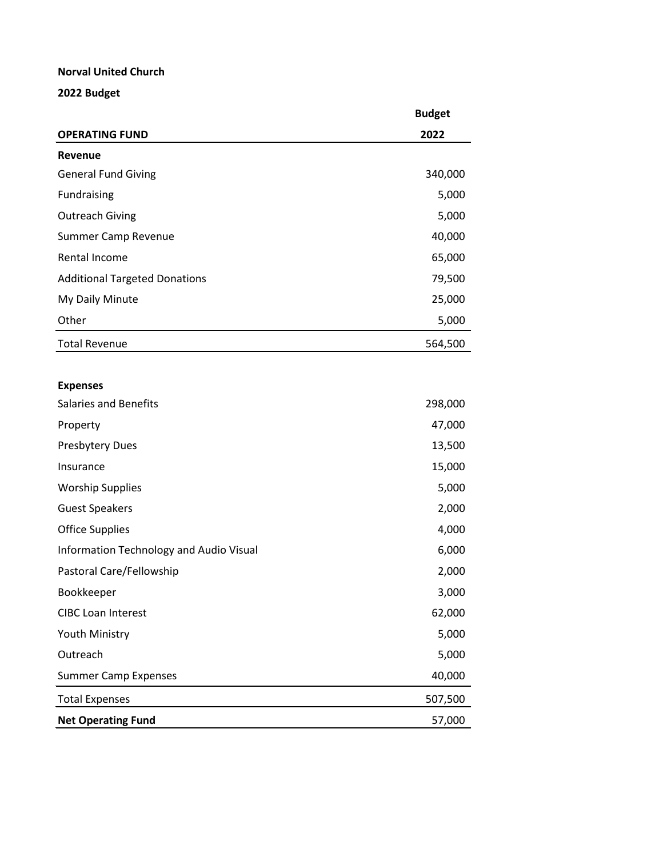#### **Norval United Church**

### **2022 Budget**

|                                      | <b>Budget</b> |
|--------------------------------------|---------------|
| <b>OPERATING FUND</b>                | 2022          |
| Revenue                              |               |
| <b>General Fund Giving</b>           | 340,000       |
| Fundraising                          | 5,000         |
| <b>Outreach Giving</b>               | 5,000         |
| Summer Camp Revenue                  | 40,000        |
| Rental Income                        | 65,000        |
| <b>Additional Targeted Donations</b> | 79,500        |
| My Daily Minute                      | 25,000        |
| Other                                | 5,000         |
| <b>Total Revenue</b>                 | 564,500       |

### **Expenses**

| <b>Net Operating Fund</b>               | 57,000  |
|-----------------------------------------|---------|
| <b>Total Expenses</b>                   | 507,500 |
| <b>Summer Camp Expenses</b>             | 40,000  |
| Outreach                                | 5,000   |
| Youth Ministry                          | 5,000   |
| <b>CIBC Loan Interest</b>               | 62,000  |
| Bookkeeper                              | 3,000   |
| Pastoral Care/Fellowship                | 2,000   |
| Information Technology and Audio Visual | 6,000   |
| <b>Office Supplies</b>                  | 4,000   |
| <b>Guest Speakers</b>                   | 2,000   |
| <b>Worship Supplies</b>                 | 5,000   |
| Insurance                               | 15,000  |
| <b>Presbytery Dues</b>                  | 13,500  |
| Property                                | 47,000  |
| <b>Salaries and Benefits</b>            | 298,000 |